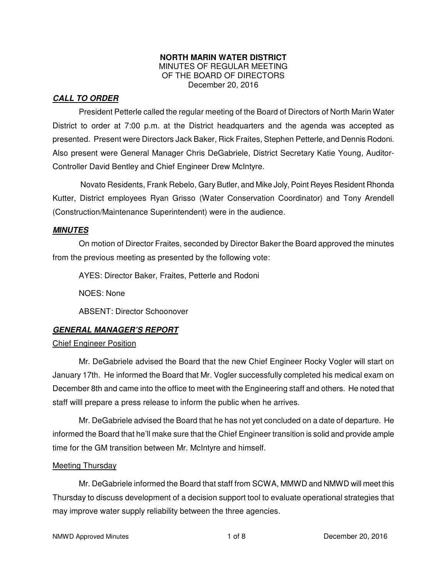#### **NORTH MARIN WATER DISTRICT**  MINUTES OF REGULAR MEETING OF THE BOARD OF DIRECTORS December 20, 2016

# *CALL TO ORDER*

President Petterle called the regular meeting of the Board of Directors of North Marin Water District to order at 7:00 p.m. at the District headquarters and the agenda was accepted as presented. Present were Directors Jack Baker, Rick Fraites, Stephen Petterle, and Dennis Rodoni. Also present were General Manager Chris DeGabriele, District Secretary Katie Young, Auditor-Controller David Bentley and Chief Engineer Drew McIntyre.

Novato Residents, Frank Rebelo, Gary Butler, and Mike Joly, Point Reyes Resident Rhonda Kutter, District employees Ryan Grisso (Water Conservation Coordinator) and Tony Arendell (Construction/Maintenance Superintendent) were in the audience.

## *MINUTES*

 On motion of Director Fraites, seconded by Director Baker the Board approved the minutes from the previous meeting as presented by the following vote:

AYES: Director Baker, Fraites, Petterle and Rodoni

NOES: None

ABSENT: Director Schoonover

## *GENERAL MANAGER'S REPORT*

## Chief Engineer Position

 Mr. DeGabriele advised the Board that the new Chief Engineer Rocky Vogler will start on January 17th. He informed the Board that Mr. Vogler successfully completed his medical exam on December 8th and came into the office to meet with the Engineering staff and others. He noted that staff willl prepare a press release to inform the public when he arrives.

 Mr. DeGabriele advised the Board that he has not yet concluded on a date of departure. He informed the Board that he'll make sure that the Chief Engineer transition is solid and provide ample time for the GM transition between Mr. McIntyre and himself.

## Meeting Thursday

 Mr. DeGabriele informed the Board that staff from SCWA, MMWD and NMWD will meet this Thursday to discuss development of a decision support tool to evaluate operational strategies that may improve water supply reliability between the three agencies.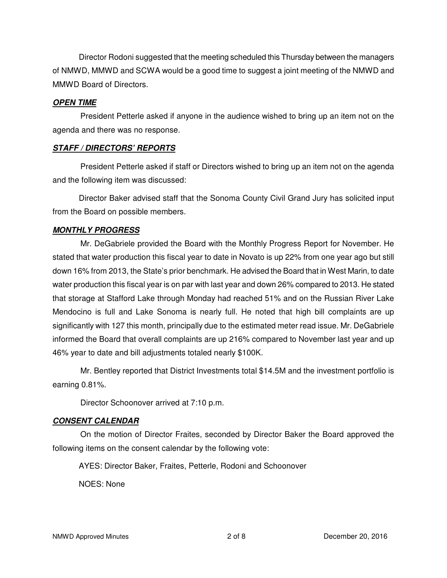Director Rodoni suggested that the meeting scheduled this Thursday between the managers of NMWD, MMWD and SCWA would be a good time to suggest a joint meeting of the NMWD and MMWD Board of Directors.

### *OPEN TIME*

President Petterle asked if anyone in the audience wished to bring up an item not on the agenda and there was no response.

## *STAFF / DIRECTORS' REPORTS*

President Petterle asked if staff or Directors wished to bring up an item not on the agenda and the following item was discussed:

 Director Baker advised staff that the Sonoma County Civil Grand Jury has solicited input from the Board on possible members.

## *MONTHLY PROGRESS*

Mr. DeGabriele provided the Board with the Monthly Progress Report for November. He stated that water production this fiscal year to date in Novato is up 22% from one year ago but still down 16% from 2013, the State's prior benchmark. He advised the Board that in West Marin, to date water production this fiscal year is on par with last year and down 26% compared to 2013. He stated that storage at Stafford Lake through Monday had reached 51% and on the Russian River Lake Mendocino is full and Lake Sonoma is nearly full. He noted that high bill complaints are up significantly with 127 this month, principally due to the estimated meter read issue. Mr. DeGabriele informed the Board that overall complaints are up 216% compared to November last year and up 46% year to date and bill adjustments totaled nearly \$100K.

Mr. Bentley reported that District Investments total \$14.5M and the investment portfolio is earning 0.81%.

Director Schoonover arrived at 7:10 p.m.

## *CONSENT CALENDAR*

On the motion of Director Fraites, seconded by Director Baker the Board approved the following items on the consent calendar by the following vote:

AYES: Director Baker, Fraites, Petterle, Rodoni and Schoonover

NOES: None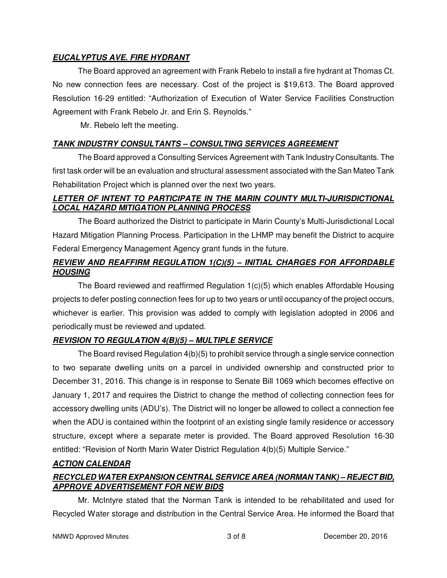# *EUCALYPTUS AVE. FIRE HYDRANT*

The Board approved an agreement with Frank Rebelo to install a fire hydrant at Thomas Ct. No new connection fees are necessary. Cost of the project is \$19,613. The Board approved Resolution 16-29 entitled: "Authorization of Execution of Water Service Facilities Construction Agreement with Frank Rebelo Jr. and Erin S. Reynolds."

Mr. Rebelo left the meeting.

## *TANK INDUSTRY CONSULTANTS – CONSULTING SERVICES AGREEMENT*

 The Board approved a Consulting Services Agreement with Tank Industry Consultants. The first task order will be an evaluation and structural assessment associated with the San Mateo Tank Rehabilitation Project which is planned over the next two years.

# *LETTER OF INTENT TO PARTICIPATE IN THE MARIN COUNTY MULTI-JURISDICTIONAL LOCAL HAZARD MITIGATION PLANNING PROCESS*

 The Board authorized the District to participate in Marin County's Multi-Jurisdictional Local Hazard Mitigation Planning Process. Participation in the LHMP may benefit the District to acquire Federal Emergency Management Agency grant funds in the future.

# *REVIEW AND REAFFIRM REGULATION 1(C)(5) – INITIAL CHARGES FOR AFFORDABLE HOUSING*

 The Board reviewed and reaffirmed Regulation 1(c)(5) which enables Affordable Housing projects to defer posting connection fees for up to two years or until occupancy of the project occurs, whichever is earlier. This provision was added to comply with legislation adopted in 2006 and periodically must be reviewed and updated.

# *REVISION TO REGULATION 4(B)(5) – MULTIPLE SERVICE*

 The Board revised Regulation 4(b)(5) to prohibit service through a single service connection to two separate dwelling units on a parcel in undivided ownership and constructed prior to December 31, 2016. This change is in response to Senate Bill 1069 which becomes effective on January 1, 2017 and requires the District to change the method of collecting connection fees for accessory dwelling units (ADU's). The District will no longer be allowed to collect a connection fee when the ADU is contained within the footprint of an existing single family residence or accessory structure, except where a separate meter is provided. The Board approved Resolution 16-30 entitled: "Revision of North Marin Water District Regulation 4(b)(5) Multiple Service."

# *ACTION CALENDAR*

# *RECYCLED WATER EXPANSION CENTRAL SERVICE AREA (NORMAN TANK) – REJECT BID, APPROVE ADVERTISEMENT FOR NEW BIDS*

 Mr. McIntyre stated that the Norman Tank is intended to be rehabilitated and used for Recycled Water storage and distribution in the Central Service Area. He informed the Board that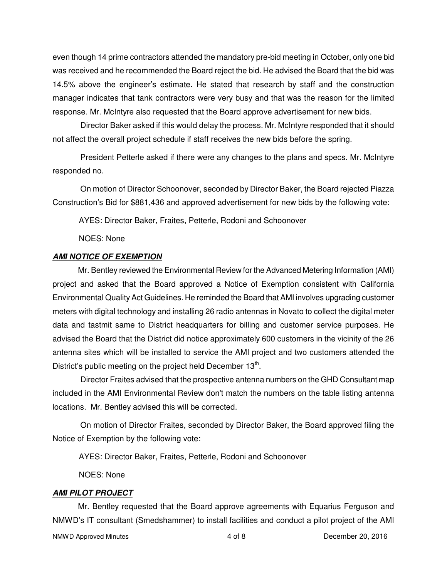even though 14 prime contractors attended the mandatory pre-bid meeting in October, only one bid was received and he recommended the Board reject the bid. He advised the Board that the bid was 14.5% above the engineer's estimate. He stated that research by staff and the construction manager indicates that tank contractors were very busy and that was the reason for the limited response. Mr. McIntyre also requested that the Board approve advertisement for new bids.

Director Baker asked if this would delay the process. Mr. McIntyre responded that it should not affect the overall project schedule if staff receives the new bids before the spring.

President Petterle asked if there were any changes to the plans and specs. Mr. McIntyre responded no.

On motion of Director Schoonover, seconded by Director Baker, the Board rejected Piazza Construction's Bid for \$881,436 and approved advertisement for new bids by the following vote:

AYES: Director Baker, Fraites, Petterle, Rodoni and Schoonover

NOES: None

### *AMI NOTICE OF EXEMPTION*

 Mr. Bentley reviewed the Environmental Review for the Advanced Metering Information (AMI) project and asked that the Board approved a Notice of Exemption consistent with California Environmental Quality Act Guidelines. He reminded the Board that AMI involves upgrading customer meters with digital technology and installing 26 radio antennas in Novato to collect the digital meter data and tastmit same to District headquarters for billing and customer service purposes. He advised the Board that the District did notice approximately 600 customers in the vicinity of the 26 antenna sites which will be installed to service the AMI project and two customers attended the District's public meeting on the project held December  $13<sup>th</sup>$ .

Director Fraites advised that the prospective antenna numbers on the GHD Consultant map included in the AMI Environmental Review don't match the numbers on the table listing antenna locations. Mr. Bentley advised this will be corrected.

On motion of Director Fraites, seconded by Director Baker, the Board approved filing the Notice of Exemption by the following vote:

AYES: Director Baker, Fraites, Petterle, Rodoni and Schoonover

NOES: None

### *AMI PILOT PROJECT*

 Mr. Bentley requested that the Board approve agreements with Equarius Ferguson and NMWD's IT consultant (Smedshammer) to install facilities and conduct a pilot project of the AMI

NMWD Approved Minutes 4 of 8 December 20, 2016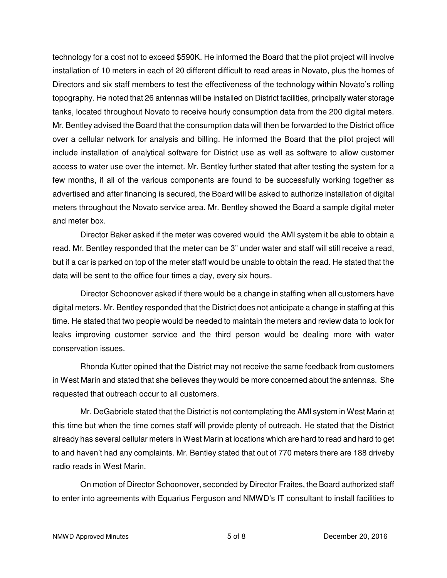technology for a cost not to exceed \$590K. He informed the Board that the pilot project will involve installation of 10 meters in each of 20 different difficult to read areas in Novato, plus the homes of Directors and six staff members to test the effectiveness of the technology within Novato's rolling topography. He noted that 26 antennas will be installed on District facilities, principally water storage tanks, located throughout Novato to receive hourly consumption data from the 200 digital meters. Mr. Bentley advised the Board that the consumption data will then be forwarded to the District office over a cellular network for analysis and billing. He informed the Board that the pilot project will include installation of analytical software for District use as well as software to allow customer access to water use over the internet. Mr. Bentley further stated that after testing the system for a few months, if all of the various components are found to be successfully working together as advertised and after financing is secured, the Board will be asked to authorize installation of digital meters throughout the Novato service area. Mr. Bentley showed the Board a sample digital meter and meter box.

Director Baker asked if the meter was covered would the AMI system it be able to obtain a read. Mr. Bentley responded that the meter can be 3" under water and staff will still receive a read, but if a car is parked on top of the meter staff would be unable to obtain the read. He stated that the data will be sent to the office four times a day, every six hours.

Director Schoonover asked if there would be a change in staffing when all customers have digital meters. Mr. Bentley responded that the District does not anticipate a change in staffing at this time. He stated that two people would be needed to maintain the meters and review data to look for leaks improving customer service and the third person would be dealing more with water conservation issues.

Rhonda Kutter opined that the District may not receive the same feedback from customers in West Marin and stated that she believes they would be more concerned about the antennas. She requested that outreach occur to all customers.

Mr. DeGabriele stated that the District is not contemplating the AMI system in West Marin at this time but when the time comes staff will provide plenty of outreach. He stated that the District already has several cellular meters in West Marin at locations which are hard to read and hard to get to and haven't had any complaints. Mr. Bentley stated that out of 770 meters there are 188 driveby radio reads in West Marin.

On motion of Director Schoonover, seconded by Director Fraites, the Board authorized staff to enter into agreements with Equarius Ferguson and NMWD's IT consultant to install facilities to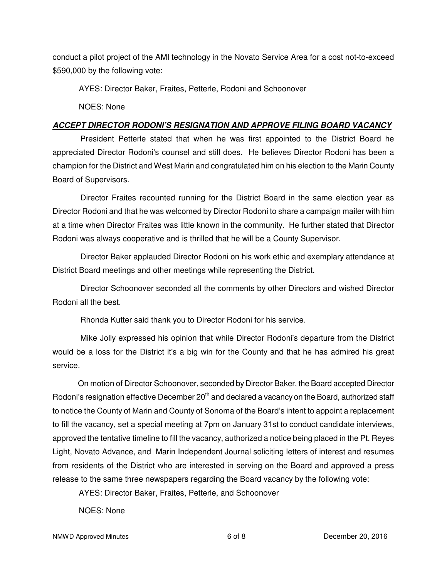conduct a pilot project of the AMI technology in the Novato Service Area for a cost not-to-exceed \$590,000 by the following vote:

AYES: Director Baker, Fraites, Petterle, Rodoni and Schoonover

NOES: None

## *ACCEPT DIRECTOR RODONI'S RESIGNATION AND APPROVE FILING BOARD VACANCY*

President Petterle stated that when he was first appointed to the District Board he appreciated Director Rodoni's counsel and still does. He believes Director Rodoni has been a champion for the District and West Marin and congratulated him on his election to the Marin County Board of Supervisors.

Director Fraites recounted running for the District Board in the same election year as Director Rodoni and that he was welcomed by Director Rodoni to share a campaign mailer with him at a time when Director Fraites was little known in the community. He further stated that Director Rodoni was always cooperative and is thrilled that he will be a County Supervisor.

Director Baker applauded Director Rodoni on his work ethic and exemplary attendance at District Board meetings and other meetings while representing the District.

Director Schoonover seconded all the comments by other Directors and wished Director Rodoni all the best.

Rhonda Kutter said thank you to Director Rodoni for his service.

Mike Jolly expressed his opinion that while Director Rodoni's departure from the District would be a loss for the District it's a big win for the County and that he has admired his great service.

 On motion of Director Schoonover, seconded by Director Baker, the Board accepted Director Rodoni's resignation effective December 20<sup>th</sup> and declared a vacancy on the Board, authorized staff to notice the County of Marin and County of Sonoma of the Board's intent to appoint a replacement to fill the vacancy, set a special meeting at 7pm on January 31st to conduct candidate interviews, approved the tentative timeline to fill the vacancy, authorized a notice being placed in the Pt. Reyes Light, Novato Advance, and Marin Independent Journal soliciting letters of interest and resumes from residents of the District who are interested in serving on the Board and approved a press release to the same three newspapers regarding the Board vacancy by the following vote:

AYES: Director Baker, Fraites, Petterle, and Schoonover

NOES: None

NMWD Approved Minutes 6 of 8 December 20, 2016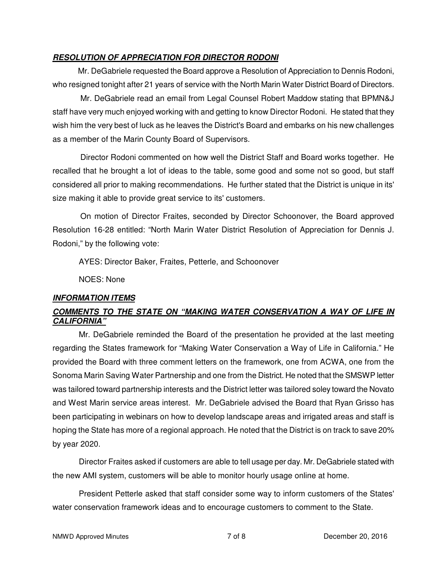## *RESOLUTION OF APPRECIATION FOR DIRECTOR RODONI*

 Mr. DeGabriele requested the Board approve a Resolution of Appreciation to Dennis Rodoni, who resigned tonight after 21 years of service with the North Marin Water District Board of Directors.

Mr. DeGabriele read an email from Legal Counsel Robert Maddow stating that BPMN&J staff have very much enjoyed working with and getting to know Director Rodoni. He stated that they wish him the very best of luck as he leaves the District's Board and embarks on his new challenges as a member of the Marin County Board of Supervisors.

Director Rodoni commented on how well the District Staff and Board works together. He recalled that he brought a lot of ideas to the table, some good and some not so good, but staff considered all prior to making recommendations. He further stated that the District is unique in its' size making it able to provide great service to its' customers.

On motion of Director Fraites, seconded by Director Schoonover, the Board approved Resolution 16-28 entitled: "North Marin Water District Resolution of Appreciation for Dennis J. Rodoni," by the following vote:

AYES: Director Baker, Fraites, Petterle, and Schoonover

NOES: None

## *INFORMATION ITEMS*

## *COMMENTS TO THE STATE ON "MAKING WATER CONSERVATION A WAY OF LIFE IN CALIFORNIA"*

 Mr. DeGabriele reminded the Board of the presentation he provided at the last meeting regarding the States framework for "Making Water Conservation a Way of Life in California." He provided the Board with three comment letters on the framework, one from ACWA, one from the Sonoma Marin Saving Water Partnership and one from the District. He noted that the SMSWP letter was tailored toward partnership interests and the District letter was tailored soley toward the Novato and West Marin service areas interest. Mr. DeGabriele advised the Board that Ryan Grisso has been participating in webinars on how to develop landscape areas and irrigated areas and staff is hoping the State has more of a regional approach. He noted that the District is on track to save 20% by year 2020.

 Director Fraites asked if customers are able to tell usage per day. Mr. DeGabriele stated with the new AMI system, customers will be able to monitor hourly usage online at home.

 President Petterle asked that staff consider some way to inform customers of the States' water conservation framework ideas and to encourage customers to comment to the State.